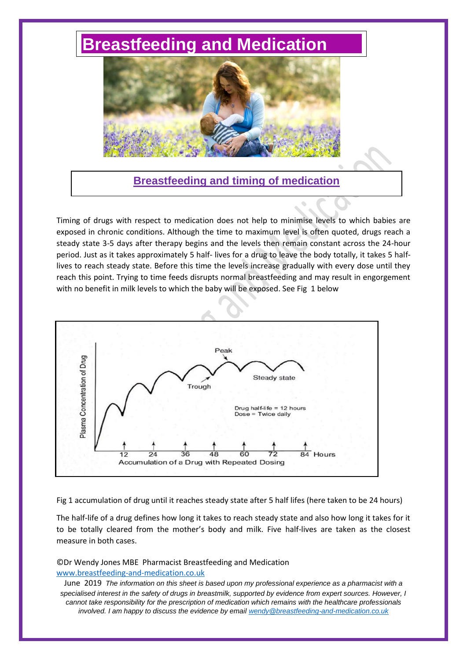## **[Breastfeeding and Medication](http://www.breastfeeding-and-medication.co.uk/)**



**Breastfeeding and timing of medication** 

Timing of drugs with respect to medication does not help to minimise levels to which babies are exposed in chronic conditions. Although the time to maximum level is often quoted, drugs reach a steady state 3-5 days after therapy begins and the levels then remain constant across the 24-hour period. Just as it takes approximately 5 half- lives for a drug to leave the body totally, it takes 5 halflives to reach steady state. Before this time the levels increase gradually with every dose until they reach this point. Trying to time feeds disrupts normal breastfeeding and may result in engorgement with no benefit in milk levels to which the baby will be exposed. See Fig 1 below



Fig 1 accumulation of drug until it reaches steady state after 5 half lifes (here taken to be 24 hours)

The half-life of a drug defines how long it takes to reach steady state and also how long it takes for it to be totally cleared from the mother's body and milk. Five half-lives are taken as the closest measure in both cases.

©Dr Wendy Jones MBE Pharmacist Breastfeeding and Medication [www.breastfeeding-and-medication.co.uk](http://www.breastfeeding-and-medication.co.uk/)

June 2019 *The information on this sheet is based upon my professional experience as a pharmacist with a specialised interest in the safety of drugs in breastmilk, supported by evidence from expert sources. However, I cannot take responsibility for the prescription of medication which remains with the healthcare professionals involved. I am happy to discuss the evidence by email [wendy@breastfeeding-and-medication.co.uk](mailto:wendy@breastfeeding-and-medication.co.uk)*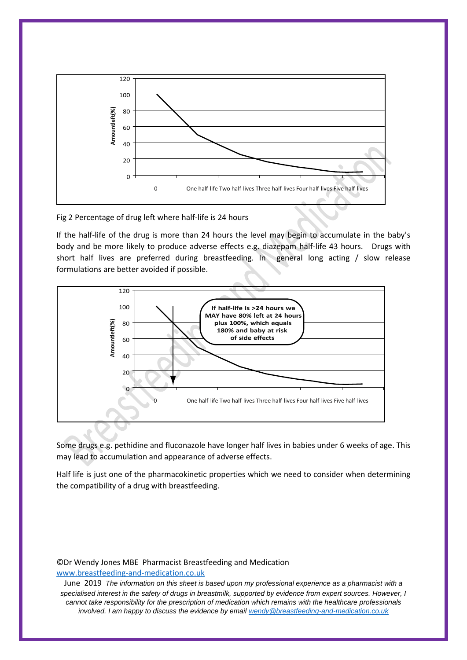

Fig 2 Percentage of drug left where half-life is 24 hours

If the half-life of the drug is more than 24 hours the level may begin to accumulate in the baby's body and be more likely to produce adverse effects e.g. diazepam half-life 43 hours. Drugs with short half lives are preferred during breastfeeding. In general long acting / slow release formulations are better avoided if possible.



Some drugs e.g. pethidine and fluconazole have longer half lives in babies under 6 weeks of age. This may lead to accumulation and appearance of adverse effects.

Half life is just one of the pharmacokinetic properties which we need to consider when determining the compatibility of a drug with breastfeeding.

## ©Dr Wendy Jones MBE Pharmacist Breastfeeding and Medication [www.breastfeeding-and-medication.co.uk](http://www.breastfeeding-and-medication.co.uk/)

June 2019 *The information on this sheet is based upon my professional experience as a pharmacist with a specialised interest in the safety of drugs in breastmilk, supported by evidence from expert sources. However, I cannot take responsibility for the prescription of medication which remains with the healthcare professionals involved. I am happy to discuss the evidence by email [wendy@breastfeeding-and-medication.co.uk](mailto:wendy@breastfeeding-and-medication.co.uk)*